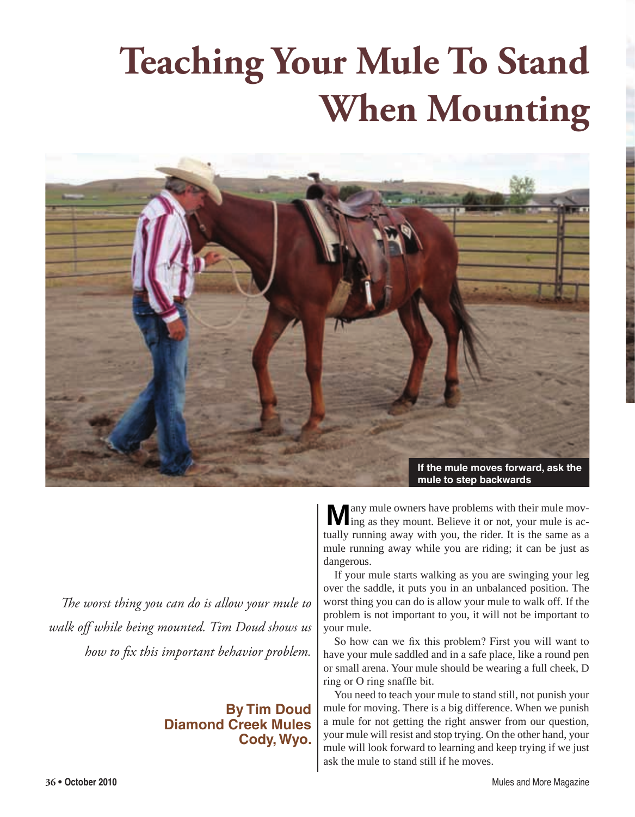## **Teaching Your Mule To Stand When Mounting**



*The worst thing you can do is allow your mule to walk off while being mounted. Tim Doud shows us how to fix this important behavior problem.*

## **By Tim Doud Diamond Creek Mules Cody, Wyo.**

**M** any mule owners have problems with their mule moving as they mount. Believe it or not, your mule is actually running away with you, the rider. It is the same as a mule running away while you are riding; it can be just as dangerous.

If your mule starts walking as you are swinging your leg over the saddle, it puts you in an unbalanced position. The worst thing you can do is allow your mule to walk off. If the problem is not important to you, it will not be important to your mule.

So how can we fix this problem? First you will want to have your mule saddled and in a safe place, like a round pen or small arena. Your mule should be wearing a full cheek, D ring or O ring snaffle bit.

You need to teach your mule to stand still, not punish your mule for moving. There is a big difference. When we punish a mule for not getting the right answer from our question, your mule will resist and stop trying. On the other hand, your mule will look forward to learning and keep trying if we just ask the mule to stand still if he moves.